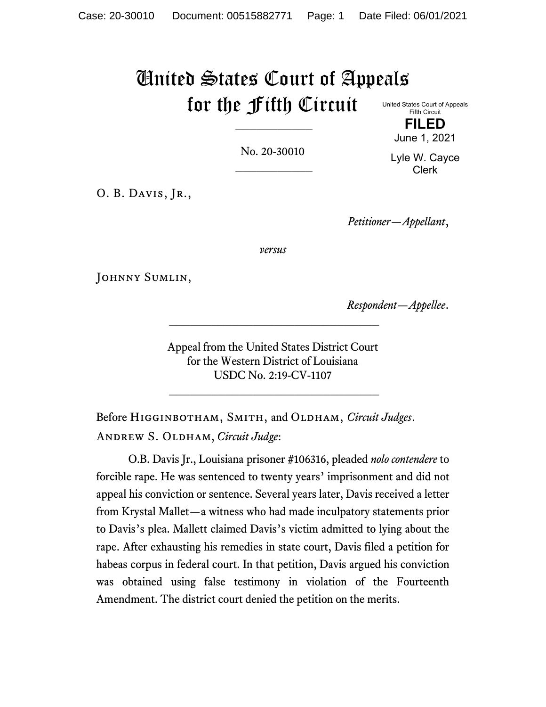## United States Court of Appeals for the Fifth Circuit

United States Court of Appeals Fifth Circuit **FILED**

No. 20-30010  $\frac{1}{2}$  Lyle W. Cayce Clerk

June 1, 2021

O. B. DAVIS, JR.,

*Petitioner—Appellant*,

*versus*

JOHNNY SUMLIN,

*Respondent—Appellee*.

Appeal from the United States District Court for the Western District of Louisiana USDC No. 2:19-CV-1107

 $\mathcal{L}_\text{max}$  , and the set of the set of the set of the set of the set of the set of the set of the set of the set of the set of the set of the set of the set of the set of the set of the set of the set of the set of the

\_\_\_\_\_\_\_\_\_\_\_\_\_\_\_\_\_\_\_\_\_\_\_\_\_\_\_\_\_\_

Before Higginbotham, Smith, and Oldham, *Circuit Judges*. Andrew S. Oldham, *Circuit Judge*:

O.B. Davis Jr., Louisiana prisoner #106316, pleaded *nolo contendere* to forcible rape. He was sentenced to twenty years' imprisonment and did not appeal his conviction or sentence. Several years later, Davis received a letter from Krystal Mallet—a witness who had made inculpatory statements prior to Davis's plea. Mallett claimed Davis's victim admitted to lying about the rape. After exhausting his remedies in state court, Davis filed a petition for habeas corpus in federal court. In that petition, Davis argued his conviction was obtained using false testimony in violation of the Fourteenth Amendment. The district court denied the petition on the merits.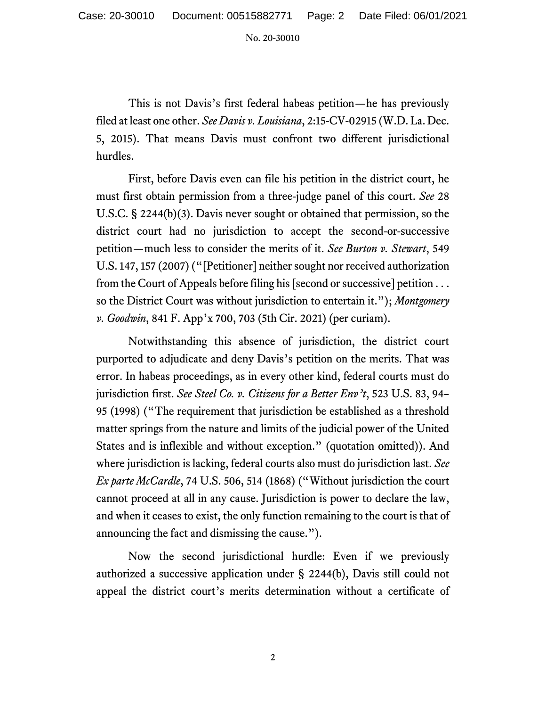No. 20-30010

This is not Davis's first federal habeas petition—he has previously filed at least one other. *See Davis v. Louisiana*, 2:15-CV-02915 (W.D. La. Dec. 5, 2015). That means Davis must confront two different jurisdictional hurdles.

First, before Davis even can file his petition in the district court, he must first obtain permission from a three-judge panel of this court. *See* 28 U.S.C. § 2244(b)(3). Davis never sought or obtained that permission, so the district court had no jurisdiction to accept the second-or-successive petition—much less to consider the merits of it. *See Burton v. Stewart*, 549 U.S. 147, 157 (2007) ("[Petitioner] neither sought nor received authorization from the Court of Appeals before filing his [second or successive] petition . . . so the District Court was without jurisdiction to entertain it."); *Montgomery v. Goodwin*, 841 F. App'x 700, 703 (5th Cir. 2021) (per curiam).

Notwithstanding this absence of jurisdiction, the district court purported to adjudicate and deny Davis's petition on the merits. That was error. In habeas proceedings, as in every other kind, federal courts must do jurisdiction first. *See Steel Co. v. Citizens for a Better Env't*, 523 U.S. 83, 94– 95 (1998) ("The requirement that jurisdiction be established as a threshold matter springs from the nature and limits of the judicial power of the United States and is inflexible and without exception." (quotation omitted)). And where jurisdiction is lacking, federal courts also must do jurisdiction last. *See Ex parte McCardle*, 74 U.S. 506, 514 (1868) ("Without jurisdiction the court cannot proceed at all in any cause. Jurisdiction is power to declare the law, and when it ceases to exist, the only function remaining to the court is that of announcing the fact and dismissing the cause.").

Now the second jurisdictional hurdle: Even if we previously authorized a successive application under § 2244(b), Davis still could not appeal the district court's merits determination without a certificate of